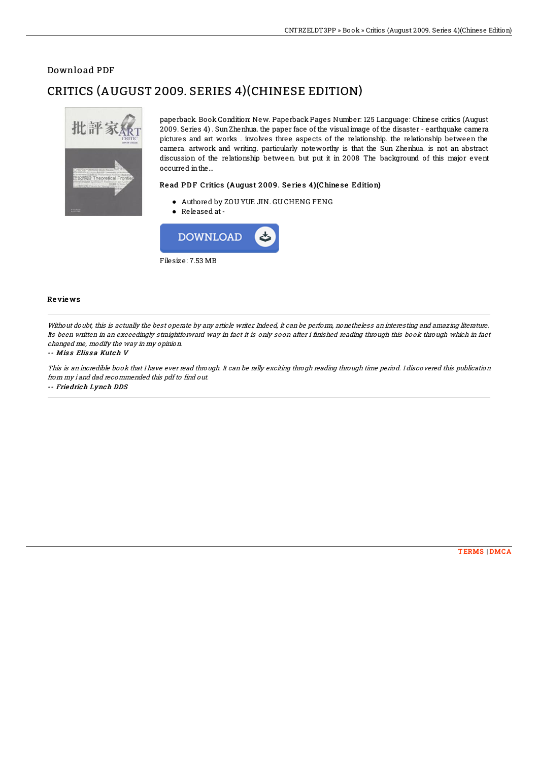## Download PDF

# CRITICS (AUGUST 2009. SERIES 4)(CHINESE EDITION)



paperback. Book Condition: New. Paperback Pages Number: 125 Language: Chinese critics (August 2009. Series 4) . SunZhenhua. the paper face of the visual image of the disaster - earthquake camera pictures and art works . involves three aspects of the relationship. the relationship between the camera. artwork and writing. particularly noteworthy is that the Sun Zhenhua. is not an abstract discussion of the relationship between. but put it in 2008 The background of this major event occurred inthe...

### Read PDF Critics (August 2009. Series 4)(Chinese Edition)

- Authored by ZOU YUE JIN. GU CHENG FENG
- Released at-



#### Re vie ws

Without doubt, this is actually the best operate by any article writer. Indeed, it can be perform, nonetheless an interesting and amazing literature. Its been written in an exceedingly straightforward way in fact it is only soon after i finished reading through this book through which in fact changed me, modify the way in my opinion.

#### -- Miss Elissa Kutch V

This is an incredible book that I have ever read through. It can be rally exciting throgh reading through time period. I discovered this publication from my i and dad recommended this pdf to find out.

-- Friedrich Lynch DDS